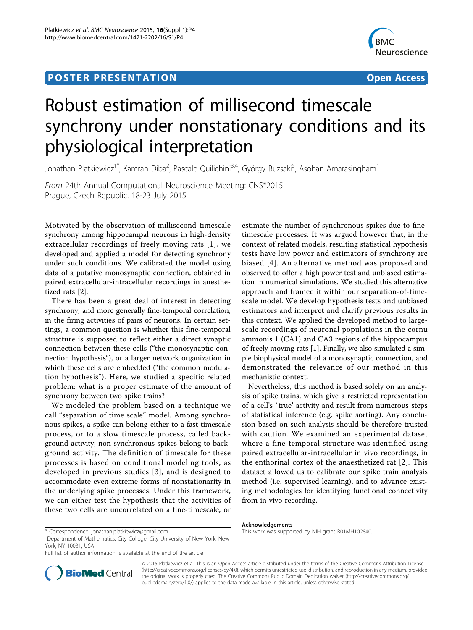## **POSTER PRESENTATION CONSUMING THE SERVICE SERVICE SERVICES**



# Robust estimation of millisecond timescale synchrony under nonstationary conditions and its physiological interpretation

Jonathan Platkiewicz<sup>1\*</sup>, Kamran Diba<sup>2</sup>, Pascale Quilichini<sup>3,4</sup>, György Buzsaki<sup>5</sup>, Asohan Amarasingham<sup>1</sup>

From 24th Annual Computational Neuroscience Meeting: CNS\*2015 Prague, Czech Republic. 18-23 July 2015

Motivated by the observation of millisecond-timescale synchrony among hippocampal neurons in high-density extracellular recordings of freely moving rats [[1](#page-1-0)], we developed and applied a model for detecting synchrony under such conditions. We calibrated the model using data of a putative monosynaptic connection, obtained in paired extracellular-intracellular recordings in anesthetized rats [[2\]](#page-1-0).

There has been a great deal of interest in detecting synchrony, and more generally fine-temporal correlation, in the firing activities of pairs of neurons. In certain settings, a common question is whether this fine-temporal structure is supposed to reflect either a direct synaptic connection between these cells ("the monosynaptic connection hypothesis"), or a larger network organization in which these cells are embedded ("the common modulation hypothesis"). Here, we studied a specific related problem: what is a proper estimate of the amount of synchrony between two spike trains?

We modeled the problem based on a technique we call "separation of time scale" model. Among synchronous spikes, a spike can belong either to a fast timescale process, or to a slow timescale process, called background activity; non-synchronous spikes belong to background activity. The definition of timescale for these processes is based on conditional modeling tools, as developed in previous studies [[3](#page-1-0)], and is designed to accommodate even extreme forms of nonstationarity in the underlying spike processes. Under this framework, we can either test the hypothesis that the activities of these two cells are uncorrelated on a fine-timescale, or

estimate the number of synchronous spikes due to finetimescale processes. It was argued however that, in the context of related models, resulting statistical hypothesis tests have low power and estimators of synchrony are biased [[4\]](#page-1-0). An alternative method was proposed and observed to offer a high power test and unbiased estimation in numerical simulations. We studied this alternative approach and framed it within our separation-of-timescale model. We develop hypothesis tests and unbiased estimators and interpret and clarify previous results in this context. We applied the developed method to largescale recordings of neuronal populations in the cornu ammonis 1 (CA1) and CA3 regions of the hippocampus of freely moving rats [\[1](#page-1-0)]. Finally, we also simulated a simple biophysical model of a monosynaptic connection, and demonstrated the relevance of our method in this mechanistic context.

Nevertheless, this method is based solely on an analysis of spike trains, which give a restricted representation of a cell's `true' activity and result from numerous steps of statistical inference (e.g. spike sorting). Any conclusion based on such analysis should be therefore trusted with caution. We examined an experimental dataset where a fine-temporal structure was identified using paired extracellular-intracellular in vivo recordings, in the enthorinal cortex of the anaesthetized rat [[2\]](#page-1-0). This dataset allowed us to calibrate our spike train analysis method (i.e. supervised learning), and to advance existing methodologies for identifying functional connectivity from in vivo recording.

Full list of author information is available at the end of the article



© 2015 Platkiewicz et al. This is an Open Access article distributed under the terms of the Creative Commons Attribution License [\(http://creativecommons.org/licenses/by/4.0](http://creativecommons.org/licenses/by/4.0)), which permits unrestricted use, distribution, and reproduction in any medium, provided the original work is properly cited. The Creative Commons Public Domain Dedication waiver ([http://creativecommons.org/](http://creativecommons.org/publicdomain/zero/1.0/) [publicdomain/zero/1.0/](http://creativecommons.org/publicdomain/zero/1.0/)) applies to the data made available in this article, unless otherwise stated

Acknowledgements

<sup>\*</sup> Correspondence: [jonathan.platkiewicz@gmail.com](mailto:jonathan.platkiewicz@gmail.com) This work was supported by NIH grant R01MH102840. <sup>1</sup>

<sup>&</sup>lt;sup>1</sup>Department of Mathematics, City College, City University of New York, New York, NY 10031, USA